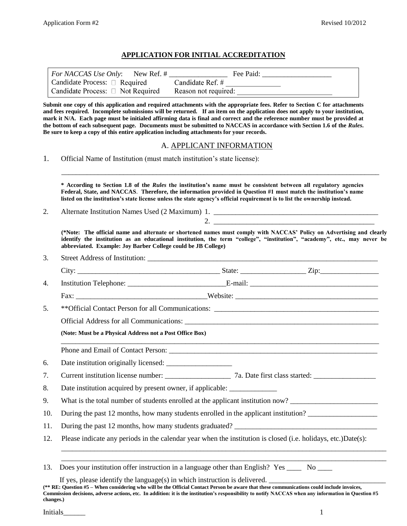#### **APPLICATION FOR INITIAL ACCREDITATION**

| <i>For NACCAS Use Only:</i> New Ref. # | Fee Paid:            |
|----------------------------------------|----------------------|
| Candidate Process: $\Box$ Required     | Candidate Ref. #     |
| Candidate Process: $\Box$ Not Required | Reason not required: |

**Submit one copy of this application and required attachments with the appropriate fees. Refer to Section C for attachments and fees required. Incomplete submissions will be returned. If an item on the application does not apply to your institution, mark it N/A. Each page must be initialed affirming data is final and correct and the reference number must be provided at**  the bottom of each subsequent page. Documents must be submitted to NACCAS in accordance with Section 1.6 of the *Rules*. **Be sure to keep a copy of this entire application including attachments for your records.** 

#### A. APPLICANT INFORMATION

1. Official Name of Institution (must match institution's state license):

**\* According to Section 1.8 of the** *Rules* **the institution's name must be consistent between all regulatory agencies Federal, State, and NACCAS**. **Therefore, the information provided in Question #1 must match the institution's name listed on the institution's state license unless the state agency's official requirement is to list the ownership instead.** 

\_\_\_\_\_\_\_\_\_\_\_\_\_\_\_\_\_\_\_\_\_\_\_\_\_\_\_\_\_\_\_\_\_\_\_\_\_\_\_\_\_\_\_\_\_\_\_\_\_\_\_\_\_\_\_\_\_\_\_\_\_\_\_\_\_\_\_\_\_\_\_\_\_\_\_\_\_\_\_\_\_\_\_\_\_\_\_

2. Alternate Institution Names Used (2 Maximum) 1. \_\_\_\_\_\_\_\_\_\_\_\_\_\_\_\_\_\_\_\_\_\_\_\_\_\_\_\_\_

3. Street Address of Institution:

**(\*Note: The official name and alternate or shortened names must comply with NACCAS' Policy on Advertising and clearly identify the institution as an educational institution, the term "college", "institution", "academy", etc., may never be abbreviated. Example: Joy Barber College could be JB College)** 

2.

| 4.  |                                                                                     |  |  |  |  |
|-----|-------------------------------------------------------------------------------------|--|--|--|--|
|     |                                                                                     |  |  |  |  |
| 5.  |                                                                                     |  |  |  |  |
|     |                                                                                     |  |  |  |  |
|     | (Note: Must be a Physical Address not a Post Office Box)                            |  |  |  |  |
|     |                                                                                     |  |  |  |  |
| 6.  |                                                                                     |  |  |  |  |
| 7.  |                                                                                     |  |  |  |  |
| 8.  | Date institution acquired by present owner, if applicable: _______________          |  |  |  |  |
| 9.  | What is the total number of students enrolled at the applicant institution now?     |  |  |  |  |
| 10. | During the past 12 months, how many students enrolled in the applicant institution? |  |  |  |  |
| 11. |                                                                                     |  |  |  |  |

12. Please indicate any periods in the calendar year when the institution is closed (i.e. holidays, etc.)Date(s):

\_\_\_\_\_\_\_\_\_\_\_\_\_\_\_\_\_\_\_\_\_\_\_\_\_\_\_\_\_\_\_\_\_\_\_\_\_\_\_\_\_\_\_\_\_\_\_\_\_\_\_\_\_\_\_\_\_\_\_\_\_\_\_\_\_\_\_\_\_\_\_\_\_\_\_\_\_\_\_\_\_\_\_\_\_\_\_\_\_ \_\_\_\_\_\_\_\_\_\_\_\_\_\_\_\_\_\_\_\_\_\_\_\_\_\_\_\_\_\_\_\_\_\_\_\_\_\_\_\_\_\_\_\_\_\_\_\_\_\_\_\_\_\_\_\_\_\_\_\_\_\_\_\_\_\_\_\_\_\_\_\_\_\_\_\_\_\_\_\_\_\_\_\_\_\_\_\_\_

If yes, please identify the language(s) in which instruction is delivered.

<sup>13.</sup> Does your institution offer instruction in a language other than English? Yes \_\_\_\_ No \_\_\_\_

**<sup>(\*\*</sup> RE: Question #5 – When considering who will be the Official Contact Person be aware that these communications could include invoices, Commission decisions, adverse actions, etc. In addition: it is the institution's responsibility to notify NACCAS when any information in Question #5 changes.)**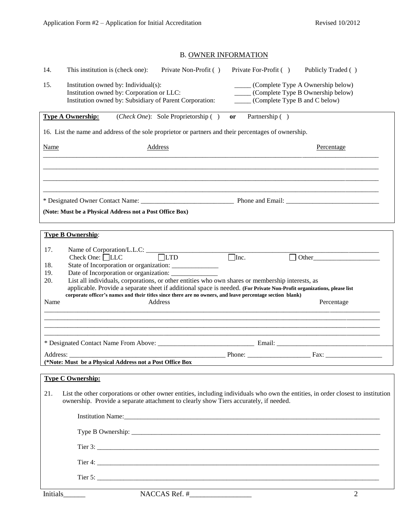# B. OWNER INFORMATION

| 14.                              | This institution is (check one):<br>Private Non-Profit ()                                                                                                                                                                                                                                                                                                                                                     | Private For-Profit ()                | Publicly Traded ()                                                           |
|----------------------------------|---------------------------------------------------------------------------------------------------------------------------------------------------------------------------------------------------------------------------------------------------------------------------------------------------------------------------------------------------------------------------------------------------------------|--------------------------------------|------------------------------------------------------------------------------|
| 15.                              | Institution owned by: Individual(s):<br>Institution owned by: Corporation or LLC:<br>Institution owned by: Subsidiary of Parent Corporation:                                                                                                                                                                                                                                                                  | ______ (Complete Type B and C below) | (Complete Type A Ownership below)<br>_____ (Complete Type B Ownership below) |
|                                  | ( <i>Check One</i> ): Sole Proprietorship ()<br><b>Type A Ownership:</b>                                                                                                                                                                                                                                                                                                                                      | Partnership ()<br>or                 |                                                                              |
|                                  | 16. List the name and address of the sole proprietor or partners and their percentages of ownership.                                                                                                                                                                                                                                                                                                          |                                      |                                                                              |
| <b>Name</b>                      | <b>Address</b>                                                                                                                                                                                                                                                                                                                                                                                                |                                      | Percentage                                                                   |
|                                  |                                                                                                                                                                                                                                                                                                                                                                                                               |                                      |                                                                              |
|                                  |                                                                                                                                                                                                                                                                                                                                                                                                               |                                      |                                                                              |
|                                  |                                                                                                                                                                                                                                                                                                                                                                                                               |                                      |                                                                              |
|                                  | (Note: Must be a Physical Address not a Post Office Box)                                                                                                                                                                                                                                                                                                                                                      |                                      |                                                                              |
|                                  | <b>Type B Ownership:</b>                                                                                                                                                                                                                                                                                                                                                                                      |                                      |                                                                              |
| 17.<br>18.<br>19.<br>20.<br>Name | State of Incorporation or organization: _______________<br>List all individuals, corporations, or other entities who own shares or membership interests, as<br>applicable. Provide a separate sheet if additional space is needed. (For Private Non-Profit organizations, please list<br>corporate officer's names and their titles since there are no owners, and leave percentage section blank)<br>Address | $\Box$ Inc.                          | Other<br>Percentage                                                          |
|                                  |                                                                                                                                                                                                                                                                                                                                                                                                               |                                      |                                                                              |
|                                  |                                                                                                                                                                                                                                                                                                                                                                                                               |                                      |                                                                              |
|                                  | Address:<br>(*Note: Must be a Physical Address not a Post Office Box                                                                                                                                                                                                                                                                                                                                          |                                      |                                                                              |
|                                  | <b>Type C Ownership:</b>                                                                                                                                                                                                                                                                                                                                                                                      |                                      |                                                                              |
| 21.                              | List the other corporations or other owner entities, including individuals who own the entities, in order closest to institution<br>ownership. Provide a separate attachment to clearly show Tiers accurately, if needed.                                                                                                                                                                                     |                                      |                                                                              |
|                                  |                                                                                                                                                                                                                                                                                                                                                                                                               |                                      |                                                                              |
|                                  |                                                                                                                                                                                                                                                                                                                                                                                                               |                                      |                                                                              |
|                                  |                                                                                                                                                                                                                                                                                                                                                                                                               |                                      |                                                                              |
|                                  |                                                                                                                                                                                                                                                                                                                                                                                                               |                                      |                                                                              |
|                                  |                                                                                                                                                                                                                                                                                                                                                                                                               |                                      |                                                                              |
|                                  | Tier 5: $\frac{1}{2}$                                                                                                                                                                                                                                                                                                                                                                                         |                                      |                                                                              |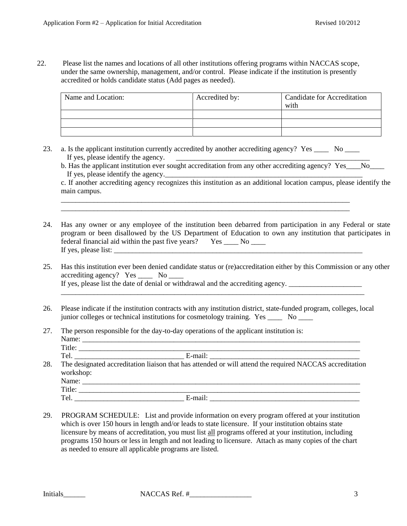22. Please list the names and locations of all other institutions offering programs within NACCAS scope, under the same ownership, management, and/or control. Please indicate if the institution is presently accredited or holds candidate status (Add pages as needed).

| Name and Location: | Accredited by: | <b>Candidate for Accreditation</b><br>with |
|--------------------|----------------|--------------------------------------------|
|                    |                |                                            |
|                    |                |                                            |
|                    |                |                                            |

23. a. Is the applicant institution currently accredited by another accrediting agency? Yes \_\_\_\_\_ No \_\_\_\_ If yes, please identify the agency.  $\qquad \qquad \qquad$ 

\_\_\_\_\_\_\_\_\_\_\_\_\_\_\_\_\_\_\_\_\_\_\_\_\_\_\_\_\_\_\_\_\_\_\_\_\_\_\_\_\_\_\_\_\_\_\_\_\_\_\_\_\_\_\_\_\_\_\_\_\_\_\_\_\_\_\_\_\_\_\_\_\_\_\_\_\_\_\_ \_\_\_\_\_\_\_\_\_\_\_\_\_\_\_\_\_\_\_\_\_\_\_\_\_\_\_\_\_\_\_\_\_\_\_\_\_\_\_\_\_\_\_\_\_\_\_\_\_\_\_\_\_\_\_\_\_\_\_\_\_\_\_\_\_\_\_\_\_\_\_\_\_\_\_\_\_\_\_

b. Has the applicant institution ever sought accreditation from any other accrediting agency? Yes\_\_\_\_No\_\_\_\_\_\_ If yes, please identify the agency.

c. If another accrediting agency recognizes this institution as an additional location campus, please identify the main campus.

- 24. Has any owner or any employee of the institution been debarred from participation in any Federal or state program or been disallowed by the US Department of Education to own any institution that participates in federal financial aid within the past five years?  $Yes$  \_\_\_\_ No \_\_\_\_\_ If yes, please list:
- 25. Has this institution ever been denied candidate status or (re)accreditation either by this Commission or any other accrediting agency? Yes \_\_\_\_ No \_\_\_\_ If yes, please list the date of denial or withdrawal and the accrediting agency.

\_\_\_\_\_\_\_\_\_\_\_\_\_\_\_\_\_\_\_\_\_\_\_\_\_\_\_\_\_\_\_\_\_\_\_\_\_\_\_\_\_\_\_\_\_\_\_\_\_\_\_\_\_\_\_\_\_\_\_\_\_\_\_\_\_\_\_\_\_\_\_\_\_\_\_\_\_\_\_\_\_\_\_

- 26. Please indicate if the institution contracts with any institution district, state-funded program, colleges, local junior colleges or technical institutions for cosmetology training. Yes \_\_\_\_ No \_\_\_\_
- 27. The person responsible for the day-to-day operations of the applicant institution is: Name: \_\_\_\_\_\_\_\_\_\_\_\_\_\_\_\_\_\_\_\_\_\_\_\_\_\_\_\_\_\_\_\_\_\_\_\_\_\_\_\_\_\_\_\_\_\_\_\_\_\_\_\_\_\_\_\_\_\_\_\_\_\_\_\_\_\_\_\_\_\_\_\_\_\_\_\_

|     | Title:                                                                                                               |
|-----|----------------------------------------------------------------------------------------------------------------------|
|     | E-mail:<br>Tel.                                                                                                      |
| 28. | The designated accreditation liaison that has attended or will attend the required NACCAS accreditation<br>workshop: |
|     | Name:                                                                                                                |
|     | Title:                                                                                                               |

- Tel. \_\_\_\_\_\_\_\_\_\_\_\_\_\_\_\_\_\_\_\_\_\_\_\_\_\_\_\_\_\_ E-mail: \_\_\_\_\_\_\_\_\_\_\_\_\_\_\_\_\_\_\_\_\_\_\_\_\_\_\_\_\_\_\_\_\_\_\_\_\_\_\_\_\_
- 29. PROGRAM SCHEDULE: List and provide information on every program offered at your institution which is over 150 hours in length and/or leads to state licensure. If your institution obtains state licensure by means of accreditation, you must list all programs offered at your institution, including programs 150 hours or less in length and not leading to licensure. Attach as many copies of the chart as needed to ensure all applicable programs are listed.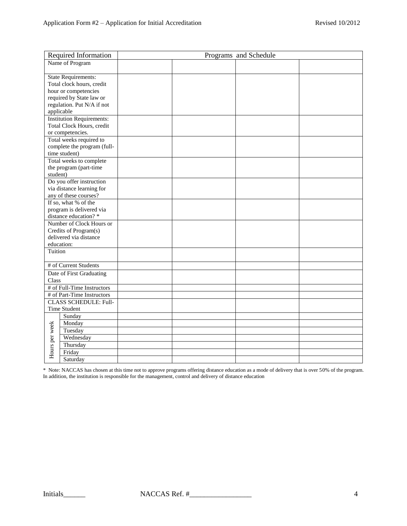|                          | Required Information                                          | Programs and Schedule |  |  |  |
|--------------------------|---------------------------------------------------------------|-----------------------|--|--|--|
|                          | Name of Program                                               |                       |  |  |  |
|                          |                                                               |                       |  |  |  |
|                          | <b>State Requirements:</b>                                    |                       |  |  |  |
|                          | Total clock hours, credit                                     |                       |  |  |  |
|                          | hour or competencies                                          |                       |  |  |  |
|                          | required by State law or                                      |                       |  |  |  |
|                          | regulation. Put N/A if not                                    |                       |  |  |  |
|                          | applicable                                                    |                       |  |  |  |
|                          | <b>Institution Requirements:</b><br>Total Clock Hours, credit |                       |  |  |  |
|                          | or competencies.                                              |                       |  |  |  |
|                          | Total weeks required to                                       |                       |  |  |  |
|                          | complete the program (full-                                   |                       |  |  |  |
|                          | time student)                                                 |                       |  |  |  |
|                          | Total weeks to complete                                       |                       |  |  |  |
|                          | the program (part-time                                        |                       |  |  |  |
| student)                 |                                                               |                       |  |  |  |
|                          | Do you offer instruction                                      |                       |  |  |  |
|                          | via distance learning for                                     |                       |  |  |  |
|                          | any of these courses?                                         |                       |  |  |  |
|                          | If so, what % of the                                          |                       |  |  |  |
| program is delivered via |                                                               |                       |  |  |  |
| distance education?*     |                                                               |                       |  |  |  |
|                          | Number of Clock Hours or                                      |                       |  |  |  |
|                          | Credits of Program(s)                                         |                       |  |  |  |
|                          | delivered via distance                                        |                       |  |  |  |
|                          | education:                                                    |                       |  |  |  |
| Tuition                  |                                                               |                       |  |  |  |
|                          |                                                               |                       |  |  |  |
|                          | # of Current Students                                         |                       |  |  |  |
|                          | Date of First Graduating                                      |                       |  |  |  |
| Class                    |                                                               |                       |  |  |  |
|                          | # of Full-Time Instructors                                    |                       |  |  |  |
|                          | # of Part-Time Instructors                                    |                       |  |  |  |
|                          | <b>CLASS SCHEDULE: Full-</b>                                  |                       |  |  |  |
|                          | <b>Time Student</b>                                           |                       |  |  |  |
|                          | Sunday                                                        |                       |  |  |  |
|                          | Monday                                                        |                       |  |  |  |
| Hours per week           | Tuesday                                                       |                       |  |  |  |
|                          | Wednesday                                                     |                       |  |  |  |
|                          | Thursday                                                      |                       |  |  |  |
|                          | Friday                                                        |                       |  |  |  |
|                          | Saturday                                                      |                       |  |  |  |

\* Note: NACCAS has chosen at this time not to approve programs offering distance education as a mode of delivery that is over 50% of the program. In addition, the institution is responsible for the management, control and delivery of distance education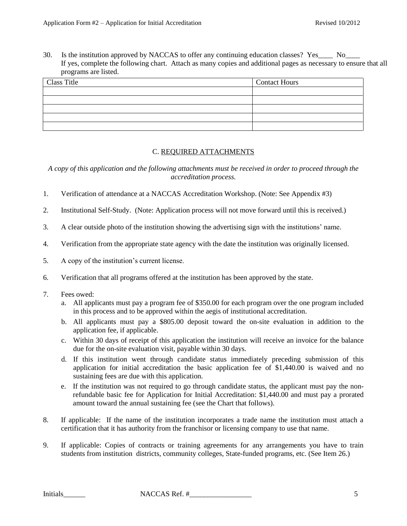30. Is the institution approved by NACCAS to offer any continuing education classes? Yes\_\_\_\_ No\_\_\_ If yes, complete the following chart. Attach as many copies and additional pages as necessary to ensure that all programs are listed.

| Class Title | <b>Contact Hours</b> |
|-------------|----------------------|
|             |                      |
|             |                      |
|             |                      |
|             |                      |
|             |                      |
|             |                      |

## C. REQUIRED ATTACHMENTS

*A copy of this application and the following attachments must be received in order to proceed through the accreditation process.*

- 1. Verification of attendance at a NACCAS Accreditation Workshop. (Note: See Appendix #3)
- 2. Institutional Self-Study. (Note: Application process will not move forward until this is received.)
- 3. A clear outside photo of the institution showing the advertising sign with the institutions' name.
- 4. Verification from the appropriate state agency with the date the institution was originally licensed.
- 5. A copy of the institution's current license.
- 6. Verification that all programs offered at the institution has been approved by the state.
- 7. Fees owed:
	- a. All applicants must pay a program fee of \$350.00 for each program over the one program included in this process and to be approved within the aegis of institutional accreditation.
	- b. All applicants must pay a \$805.00 deposit toward the on-site evaluation in addition to the application fee, if applicable.
	- c. Within 30 days of receipt of this application the institution will receive an invoice for the balance due for the on-site evaluation visit, payable within 30 days.
	- d. If this institution went through candidate status immediately preceding submission of this application for initial accreditation the basic application fee of \$1,440.00 is waived and no sustaining fees are due with this application.
	- e. If the institution was not required to go through candidate status, the applicant must pay the nonrefundable basic fee for Application for Initial Accreditation: \$1,440.00 and must pay a prorated amount toward the annual sustaining fee (see the Chart that follows).
- 8. If applicable: If the name of the institution incorporates a trade name the institution must attach a certification that it has authority from the franchisor or licensing company to use that name.
- 9. If applicable: Copies of contracts or training agreements for any arrangements you have to train students from institution districts, community colleges, State-funded programs, etc. (See Item 26.)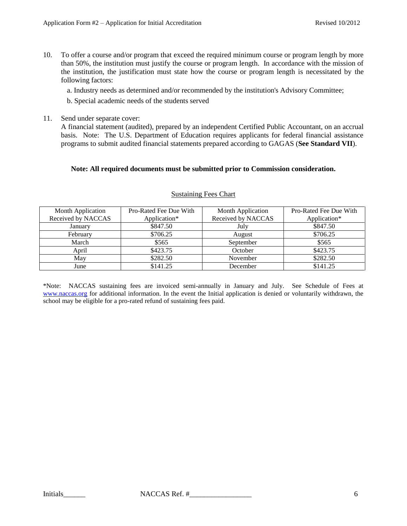10. To offer a course and/or program that exceed the required minimum course or program length by more than 50%, the institution must justify the course or program length. In accordance with the mission of the institution, the justification must state how the course or program length is necessitated by the following factors:

a. Industry needs as determined and/or recommended by the institution's Advisory Committee;

b. Special academic needs of the students served

11. Send under separate cover:

A financial statement (audited), prepared by an independent Certified Public Accountant, on an accrual basis. Note: The U.S. Department of Education requires applicants for federal financial assistance programs to submit audited financial statements prepared according to GAGAS (**See Standard VII**).

## **Note: All required documents must be submitted prior to Commission consideration.**

| <b>Month Application</b> | Pro-Rated Fee Due With | <b>Month Application</b> | Pro-Rated Fee Due With |
|--------------------------|------------------------|--------------------------|------------------------|
| Received by NACCAS       | Application*           | Received by NACCAS       | Application*           |
| January                  | \$847.50               | July                     | \$847.50               |
| February                 | \$706.25               | August                   | \$706.25               |
| March                    | \$565                  | September                | \$565                  |
| April                    | \$423.75               | October                  | \$423.75               |
| May                      | \$282.50               | November                 | \$282.50               |
| June                     | \$141.25               | December                 | \$141.25               |

#### Sustaining Fees Chart

\*Note: NACCAS sustaining fees are invoiced semi-annually in January and July. See Schedule of Fees at [www.naccas.org](http://www.naccas.org/) for additional information. In the event the Initial application is denied or voluntarily withdrawn, the school may be eligible for a pro-rated refund of sustaining fees paid.